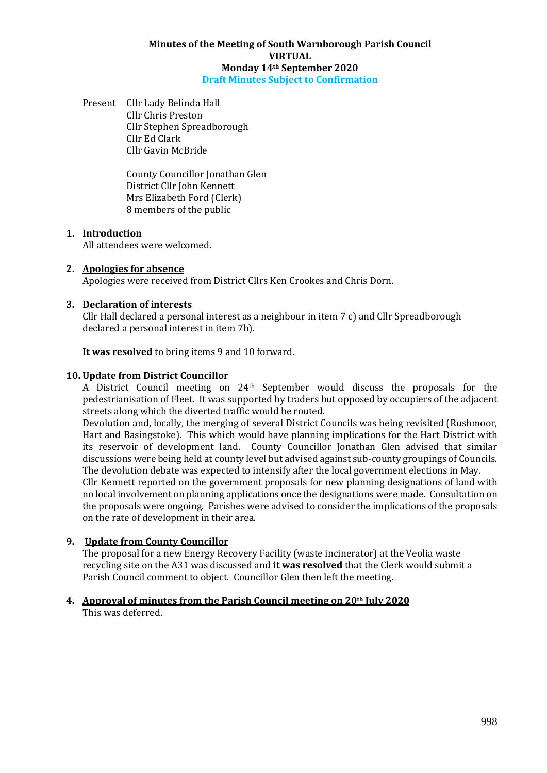#### **Minutes of the Meeting of South Warnborough Parish Council VIRTUAL Monday 14th September 2020 Draft Minutes Subject to Confirmation**

Present Cllr Lady Belinda Hall Cllr Chris Preston Cllr Stephen Spreadborough Cllr Ed Clark Cllr Gavin McBride

> County Councillor Jonathan Glen District Cllr John Kennett Mrs Elizabeth Ford (Clerk) 8 members of the public

## **1. Introduction**

All attendees were welcomed.

#### **2. Apologies for absence**

Apologies were received from District Cllrs Ken Crookes and Chris Dorn.

#### **3. Declaration of interests**

Cllr Hall declared a personal interest as a neighbour in item 7 c) and Cllr Spreadborough declared a personal interest in item 7b).

**It was resolved** to bring items 9 and 10 forward.

#### **10. Update from District Councillor**

A District Council meeting on 24th September would discuss the proposals for the pedestrianisation of Fleet. It was supported by traders but opposed by occupiers of the adjacent streets along which the diverted traffic would be routed.

Devolution and, locally, the merging of several District Councils was being revisited (Rushmoor, Hart and Basingstoke). This which would have planning implications for the Hart District with its reservoir of development land. County Councillor Jonathan Glen advised that similar discussions were being held at county level but advised against sub-county groupings of Councils. The devolution debate was expected to intensify after the local government elections in May. Cllr Kennett reported on the government proposals for new planning designations of land with no local involvement on planning applications once the designations were made. Consultation on the proposals were ongoing. Parishes were advised to consider the implications of the proposals on the rate of development in their area.

## **9. Update from County Councillor**

The proposal for a new Energy Recovery Facility (waste incinerator) at the Veolia waste recycling site on the A31 was discussed and **it was resolved** that the Clerk would submit a Parish Council comment to object. Councillor Glen then left the meeting.

# **4. Approval of minutes from the Parish Council meeting on 20th July 2020**

This was deferred.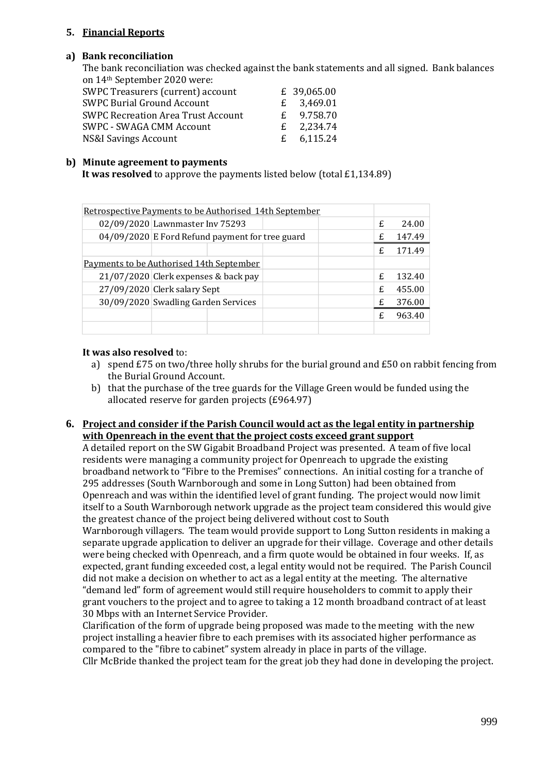## **5. Financial Reports**

## **a) Bank reconciliation**

The bank reconciliation was checked against the bank statements and all signed. Bank balances on 14th September 2020 were:

| SWPC Treasurers (current) account         | £ 39,065.00  |
|-------------------------------------------|--------------|
| <b>SWPC Burial Ground Account</b>         | £ $3,469.01$ |
| <b>SWPC Recreation Area Trust Account</b> | £ $9.758.70$ |
| <b>SWPC - SWAGA CMM Account</b>           | £ $2,234.74$ |
| NS&I Savings Account                      | £ $6,115.24$ |

#### **b) Minute agreement to payments**

**It was resolved** to approve the payments listed below (total £1,134.89)

| Retrospective Payments to be Authorised 14th September |                                                 |  |   |        |   |        |
|--------------------------------------------------------|-------------------------------------------------|--|---|--------|---|--------|
|                                                        | 02/09/2020 Lawnmaster Inv 75293                 |  |   |        |   | 24.00  |
|                                                        | 04/09/2020 E Ford Refund payment for tree guard |  | £ | 147.49 |   |        |
|                                                        |                                                 |  |   |        | £ | 171.49 |
| Payments to be Authorised 14th September               |                                                 |  |   |        |   |        |
|                                                        | 21/07/2020 Clerk expenses & back pay            |  | £ | 132.40 |   |        |
|                                                        | 27/09/2020 Clerk salary Sept                    |  | £ | 455.00 |   |        |
|                                                        | 30/09/2020 Swadling Garden Services             |  | £ | 376.00 |   |        |
|                                                        |                                                 |  |   |        | £ | 963.40 |
|                                                        |                                                 |  |   |        |   |        |

#### **It was also resolved** to:

- a) spend £75 on two/three holly shrubs for the burial ground and £50 on rabbit fencing from the Burial Ground Account.
- b) that the purchase of the tree guards for the Village Green would be funded using the allocated reserve for garden projects (£964.97)

#### **6. Project and consider if the Parish Council would act as the legal entity in partnership with Openreach in the event that the project costs exceed grant support**

A detailed report on the SW Gigabit Broadband Project was presented. A team of five local residents were managing a community project for Openreach to upgrade the existing broadband network to "Fibre to the Premises" connections. An initial costing for a tranche of 295 addresses (South Warnborough and some in Long Sutton) had been obtained from Openreach and was within the identified level of grant funding. The project would now limit itself to a South Warnborough network upgrade as the project team considered this would give the greatest chance of the project being delivered without cost to South

Warnborough villagers. The team would provide support to Long Sutton residents in making a separate upgrade application to deliver an upgrade for their village. Coverage and other details were being checked with Openreach, and a firm quote would be obtained in four weeks. If, as expected, grant funding exceeded cost, a legal entity would not be required. The Parish Council did not make a decision on whether to act as a legal entity at the meeting. The alternative "demand led" form of agreement would still require householders to commit to apply their grant vouchers to the project and to agree to taking a 12 month broadband contract of at least 30 Mbps with an Internet Service Provider.

Clarification of the form of upgrade being proposed was made to the meeting with the new project installing a heavier fibre to each premises with its associated higher performance as compared to the "fibre to cabinet" system already in place in parts of the village. Cllr McBride thanked the project team for the great job they had done in developing the project.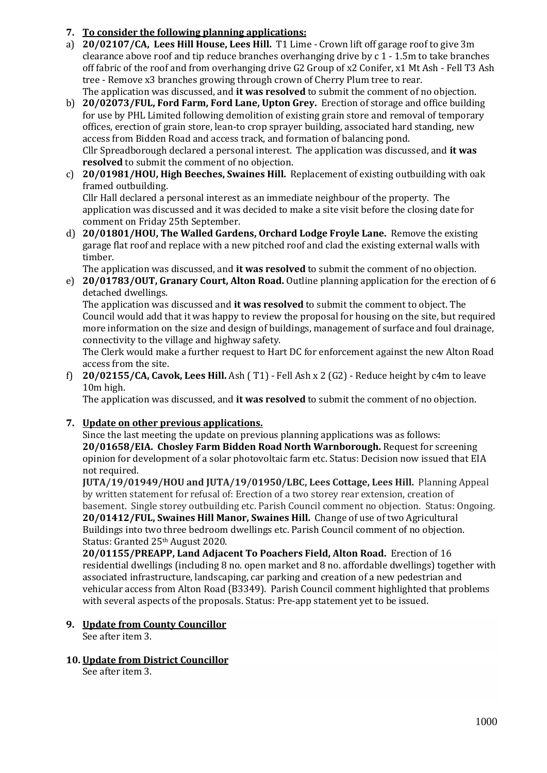# **7. To consider the following planning applications:**

- a) **20/02107/CA, Lees Hill House, Lees Hill.** T1 Lime Crown lift off garage roof to give 3m clearance above roof and tip reduce branches overhanging drive by c 1 - 1.5m to take branches off fabric of the roof and from overhanging drive G2 Group of x2 Conifer, x1 Mt Ash - Fell T3 Ash tree - Remove x3 branches growing through crown of Cherry Plum tree to rear. The application was discussed, and **it was resolved** to submit the comment of no objection.
- b) **20/02073/FUL, Ford Farm, Ford Lane, Upton Grey.** Erection of storage and office building for use by PHL Limited following demolition of existing grain store and removal of temporary offices, erection of grain store, lean-to crop sprayer building, associated hard standing, new access from Bidden Road and access track, and formation of balancing pond. Cllr Spreadborough declared a personal interest. The application was discussed, and **it was resolved** to submit the comment of no objection.
- c) **20/01981/HOU, High Beeches, Swaines Hill.** Replacement of existing outbuilding with oak framed outbuilding.

Cllr Hall declared a personal interest as an immediate neighbour of the property. The application was discussed and it was decided to make a site visit before the closing date for comment on Friday 25th September.

d) **20/01801/HOU, The Walled Gardens, Orchard Lodge Froyle Lane.** Remove the existing garage flat roof and replace with a new pitched roof and clad the existing external walls with timber.

The application was discussed, and **it was resolved** to submit the comment of no objection.

e) **20/01783/OUT, Granary Court, Alton Road.** Outline planning application for the erection of 6 detached dwellings.

The application was discussed and **it was resolved** to submit the comment to object. The Council would add that it was happy to review the proposal for housing on the site, but required more information on the size and design of buildings, management of surface and foul drainage, connectivity to the village and highway safety.

The Clerk would make a further request to Hart DC for enforcement against the new Alton Road access from the site.

f) **20/02155/CA, Cavok, Lees Hill.** Ash ( T1) - Fell Ash x 2 (G2) - Reduce height by c4m to leave 10m high.

The application was discussed, and **it was resolved** to submit the comment of no objection.

# **7. Update on other previous applications.**

Since the last meeting the update on previous planning applications was as follows: **20/01658/EIA. Chosley Farm Bidden Road North Warnborough.** Request for screening opinion for development of a solar photovoltaic farm etc. Status: Decision now issued that EIA not required.

**JUTA/19/01949/HOU and JUTA/19/01950/LBC, Lees Cottage, Lees Hill.** Planning Appeal by written statement for refusal of: Erection of a two storey rear extension, creation of basement. Single storey outbuilding etc. Parish Council comment no objection. Status: Ongoing. **20/01412/FUL, Swaines Hill Manor, Swaines Hill.** Change of use of two Agricultural Buildings into two three bedroom dwellings etc. Parish Council comment of no objection. Status: Granted 25th August 2020.

**20/01155/PREAPP, Land Adjacent To Poachers Field, Alton Road.** Erection of 16 residential dwellings (including 8 no. open market and 8 no. affordable dwellings) together with associated infrastructure, landscaping, car parking and creation of a new pedestrian and vehicular access from Alton Road (B3349). Parish Council comment highlighted that problems with several aspects of the proposals. Status: Pre-app statement yet to be issued.

# **9. Update from County Councillor**

See after item 3.

## **10. Update from District Councillor**

See after item 3.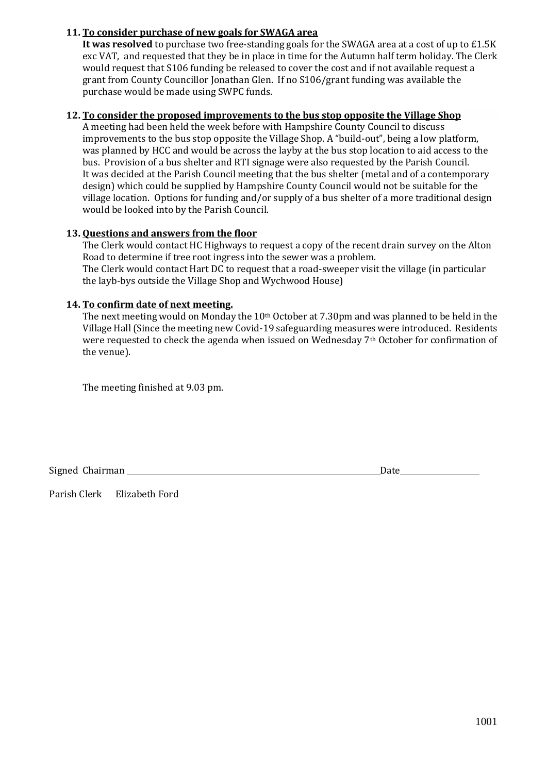# **11. To consider purchase of new goals for SWAGA area**

**It was resolved** to purchase two free-standing goals for the SWAGA area at a cost of up to £1.5K exc VAT, and requested that they be in place in time for the Autumn half term holiday. The Clerk would request that S106 funding be released to cover the cost and if not available request a grant from County Councillor Jonathan Glen. If no S106/grant funding was available the purchase would be made using SWPC funds.

## **12. To consider the proposed improvements to the bus stop opposite the Village Shop**

A meeting had been held the week before with Hampshire County Council to discuss improvements to the bus stop opposite the Village Shop. A "build-out", being a low platform, was planned by HCC and would be across the layby at the bus stop location to aid access to the bus. Provision of a bus shelter and RTI signage were also requested by the Parish Council. It was decided at the Parish Council meeting that the bus shelter (metal and of a contemporary design) which could be supplied by Hampshire County Council would not be suitable for the village location. Options for funding and/or supply of a bus shelter of a more traditional design would be looked into by the Parish Council.

## **13. Questions and answers from the floor**

The Clerk would contact HC Highways to request a copy of the recent drain survey on the Alton Road to determine if tree root ingress into the sewer was a problem. The Clerk would contact Hart DC to request that a road-sweeper visit the village (in particular the layb-bys outside the Village Shop and Wychwood House)

# **14. To confirm date of next meeting.**

The next meeting would on Monday the 10<sup>th</sup> October at 7.30pm and was planned to be held in the Village Hall (Since the meeting new Covid-19 safeguarding measures were introduced. Residents were requested to check the agenda when issued on Wednesday  $7<sup>th</sup>$  October for confirmation of the venue).

The meeting finished at 9.03 pm.

Signed Chairman Date

Parish Clerk Elizabeth Ford